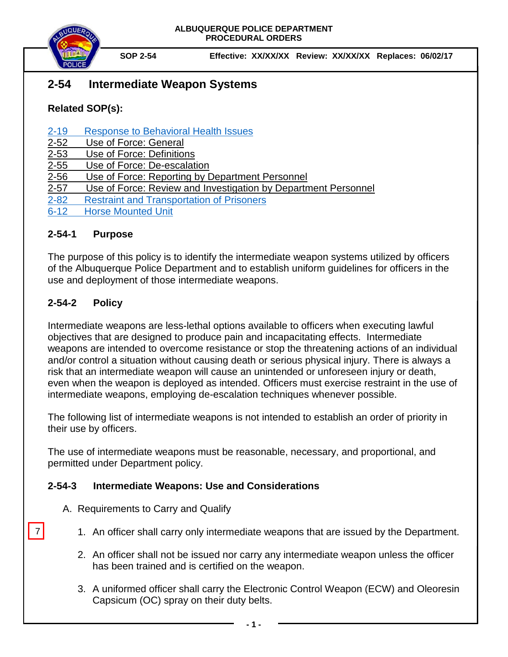

**SOP 2-54 Effective: XX/XX/XX Review: XX/XX/XX Replaces: 06/02/17**

# **2-54 Intermediate Weapon Systems**

# **Related SOP(s):**

## [2-19 Response to Behavioral Health Issues](https://powerdms.com/link/IDS/document/?id=1192186)

- [2-52 Use of Force: General](https://powerdms.com/docs/135?q=2-52)
- [2-53 Use of Force:](https://powerdms.com/docs/137?q=2-53) Definitions
- [2-55 Use of Force: De-escalation](https://powerdms.com/docs/755516?q=2-55)
- 2-56 Use of Force: [Reporting by Department Personnel](https://powerdms.com/docs/208?q=2-56)
- 2-57 Use of Force: Review and Investigation by Department Personnel
- [2-82 Restraint and Transportation of Prisoners](https://powerdms.com/link/IDS/document/?id=102)
- [6-12 Horse Mounted Unit](https://powerdms.com/link/IDS/document/?id=1213941)

#### **2-54-1 Purpose**

The purpose of this policy is to identify the intermediate weapon systems utilized by officers of the Albuquerque Police Department and to establish uniform guidelines for officers in the use and deployment of those intermediate weapons.

# **2-54-2 Policy**

7

Intermediate weapons are less-lethal options available to officers when executing lawful objectives that are designed to produce pain and incapacitating effects. Intermediate weapons are intended to overcome resistance or stop the threatening actions of an individual and/or control a situation without causing death or serious physical injury. There is always a risk that an intermediate weapon will cause an unintended or unforeseen injury or death, even when the weapon is deployed as intended. Officers must exercise restraint in the use of intermediate weapons, employing de-escalation techniques whenever possible.

The following list of intermediate weapons is not intended to establish an order of priority in their use by officers.

The use of intermediate weapons must be reasonable, necessary, and proportional, and permitted under Department policy.

## **2-54-3 Intermediate Weapons: Use and Considerations**

- A. Requirements to Carry and Qualify
	- 1. An officer shall carry only intermediate weapons that are issued by the Department.
	- 2. An officer shall not be issued nor carry any intermediate weapon unless the officer has been trained and is certified on the weapon.
	- 3. A uniformed officer shall carry the Electronic Control Weapon (ECW) and Oleoresin Capsicum (OC) spray on their duty belts.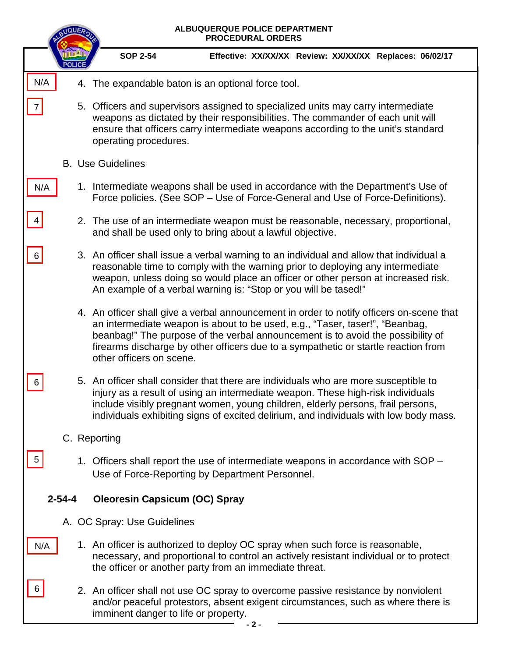|                | ALBUQUERQUE POLICE DEPARTMENT<br><b>PROCEDURAL ORDERS</b> |                                                                                                                                                                                                                                                                                                                                                                               |  |  |  |  |
|----------------|-----------------------------------------------------------|-------------------------------------------------------------------------------------------------------------------------------------------------------------------------------------------------------------------------------------------------------------------------------------------------------------------------------------------------------------------------------|--|--|--|--|
|                |                                                           | <b>SOP 2-54</b><br>Effective: XX/XX/XX Review: XX/XX/XX Replaces: 06/02/17                                                                                                                                                                                                                                                                                                    |  |  |  |  |
| N/A            |                                                           | 4. The expandable baton is an optional force tool.                                                                                                                                                                                                                                                                                                                            |  |  |  |  |
| $\overline{7}$ |                                                           | 5. Officers and supervisors assigned to specialized units may carry intermediate<br>weapons as dictated by their responsibilities. The commander of each unit will<br>ensure that officers carry intermediate weapons according to the unit's standard<br>operating procedures.                                                                                               |  |  |  |  |
|                |                                                           | <b>B.</b> Use Guidelines                                                                                                                                                                                                                                                                                                                                                      |  |  |  |  |
| N/A            |                                                           | 1. Intermediate weapons shall be used in accordance with the Department's Use of<br>Force policies. (See SOP – Use of Force-General and Use of Force-Definitions).                                                                                                                                                                                                            |  |  |  |  |
| 4              |                                                           | 2. The use of an intermediate weapon must be reasonable, necessary, proportional,<br>and shall be used only to bring about a lawful objective.                                                                                                                                                                                                                                |  |  |  |  |
| 6              |                                                           | 3. An officer shall issue a verbal warning to an individual and allow that individual a<br>reasonable time to comply with the warning prior to deploying any intermediate<br>weapon, unless doing so would place an officer or other person at increased risk.<br>An example of a verbal warning is: "Stop or you will be tased!"                                             |  |  |  |  |
|                |                                                           | 4. An officer shall give a verbal announcement in order to notify officers on-scene that<br>an intermediate weapon is about to be used, e.g., "Taser, taser!", "Beanbag,<br>beanbag!" The purpose of the verbal announcement is to avoid the possibility of<br>firearms discharge by other officers due to a sympathetic or startle reaction from<br>other officers on scene. |  |  |  |  |
| 6              |                                                           | 5. An officer shall consider that there are individuals who are more susceptible to<br>injury as a result of using an intermediate weapon. These high-risk individuals<br>include visibly pregnant women, young children, elderly persons, frail persons,<br>individuals exhibiting signs of excited delirium, and individuals with low body mass.                            |  |  |  |  |
|                |                                                           | C. Reporting                                                                                                                                                                                                                                                                                                                                                                  |  |  |  |  |
| 5              |                                                           | 1. Officers shall report the use of intermediate weapons in accordance with SOP –<br>Use of Force-Reporting by Department Personnel.                                                                                                                                                                                                                                          |  |  |  |  |
| $2 - 54 - 4$   |                                                           | <b>Oleoresin Capsicum (OC) Spray</b>                                                                                                                                                                                                                                                                                                                                          |  |  |  |  |
|                |                                                           | A. OC Spray: Use Guidelines                                                                                                                                                                                                                                                                                                                                                   |  |  |  |  |
| N/A            |                                                           | 1. An officer is authorized to deploy OC spray when such force is reasonable,<br>necessary, and proportional to control an actively resistant individual or to protect<br>the officer or another party from an immediate threat.                                                                                                                                              |  |  |  |  |
| 6              |                                                           | 2. An officer shall not use OC spray to overcome passive resistance by nonviolent<br>and/or peaceful protestors, absent exigent circumstances, such as where there is<br>imminent danger to life or property.                                                                                                                                                                 |  |  |  |  |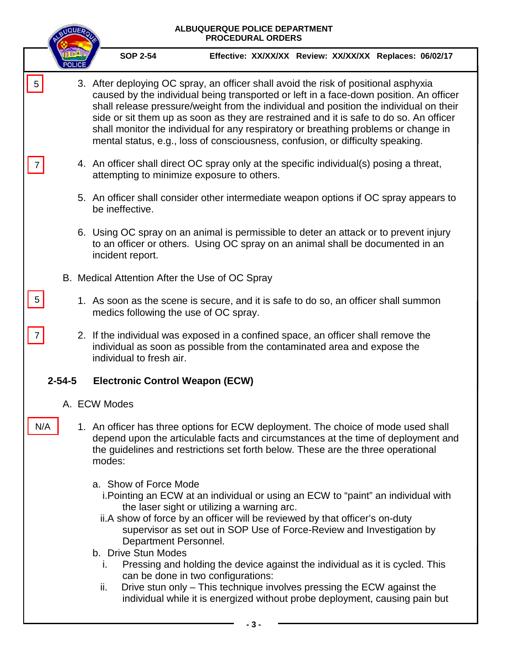|                | ALBUQUERQUE POLICE DEPARTMENT<br><b>PROCEDURAL ORDERS</b>                                                                                                                                                                                                                                                                                                                                                                                                                                                                                  |  |                                                                                                                                                                                                                                                                                                                                                                                                                                                                                                                                                                                                                                                               |  |  |  |
|----------------|--------------------------------------------------------------------------------------------------------------------------------------------------------------------------------------------------------------------------------------------------------------------------------------------------------------------------------------------------------------------------------------------------------------------------------------------------------------------------------------------------------------------------------------------|--|---------------------------------------------------------------------------------------------------------------------------------------------------------------------------------------------------------------------------------------------------------------------------------------------------------------------------------------------------------------------------------------------------------------------------------------------------------------------------------------------------------------------------------------------------------------------------------------------------------------------------------------------------------------|--|--|--|
|                |                                                                                                                                                                                                                                                                                                                                                                                                                                                                                                                                            |  | <b>SOP 2-54</b><br>Effective: XX/XX/XX Review: XX/XX/XX Replaces: 06/02/17                                                                                                                                                                                                                                                                                                                                                                                                                                                                                                                                                                                    |  |  |  |
| 5              | 3. After deploying OC spray, an officer shall avoid the risk of positional asphyxia<br>caused by the individual being transported or left in a face-down position. An officer<br>shall release pressure/weight from the individual and position the individual on their<br>side or sit them up as soon as they are restrained and it is safe to do so. An officer<br>shall monitor the individual for any respiratory or breathing problems or change in<br>mental status, e.g., loss of consciousness, confusion, or difficulty speaking. |  |                                                                                                                                                                                                                                                                                                                                                                                                                                                                                                                                                                                                                                                               |  |  |  |
|                |                                                                                                                                                                                                                                                                                                                                                                                                                                                                                                                                            |  | 4. An officer shall direct OC spray only at the specific individual(s) posing a threat,<br>attempting to minimize exposure to others.                                                                                                                                                                                                                                                                                                                                                                                                                                                                                                                         |  |  |  |
|                |                                                                                                                                                                                                                                                                                                                                                                                                                                                                                                                                            |  | 5. An officer shall consider other intermediate weapon options if OC spray appears to<br>be ineffective.                                                                                                                                                                                                                                                                                                                                                                                                                                                                                                                                                      |  |  |  |
|                |                                                                                                                                                                                                                                                                                                                                                                                                                                                                                                                                            |  | 6. Using OC spray on an animal is permissible to deter an attack or to prevent injury<br>to an officer or others. Using OC spray on an animal shall be documented in an<br>incident report.                                                                                                                                                                                                                                                                                                                                                                                                                                                                   |  |  |  |
|                |                                                                                                                                                                                                                                                                                                                                                                                                                                                                                                                                            |  | B. Medical Attention After the Use of OC Spray                                                                                                                                                                                                                                                                                                                                                                                                                                                                                                                                                                                                                |  |  |  |
| $\overline{5}$ |                                                                                                                                                                                                                                                                                                                                                                                                                                                                                                                                            |  | 1. As soon as the scene is secure, and it is safe to do so, an officer shall summon<br>medics following the use of OC spray.                                                                                                                                                                                                                                                                                                                                                                                                                                                                                                                                  |  |  |  |
| $\overline{7}$ |                                                                                                                                                                                                                                                                                                                                                                                                                                                                                                                                            |  | 2. If the individual was exposed in a confined space, an officer shall remove the<br>individual as soon as possible from the contaminated area and expose the<br>individual to fresh air.                                                                                                                                                                                                                                                                                                                                                                                                                                                                     |  |  |  |
|                | $2 - 54 - 5$                                                                                                                                                                                                                                                                                                                                                                                                                                                                                                                               |  | <b>Electronic Control Weapon (ECW)</b>                                                                                                                                                                                                                                                                                                                                                                                                                                                                                                                                                                                                                        |  |  |  |
| A. ECW Modes   |                                                                                                                                                                                                                                                                                                                                                                                                                                                                                                                                            |  |                                                                                                                                                                                                                                                                                                                                                                                                                                                                                                                                                                                                                                                               |  |  |  |
|                | N/A                                                                                                                                                                                                                                                                                                                                                                                                                                                                                                                                        |  | 1. An officer has three options for ECW deployment. The choice of mode used shall<br>depend upon the articulable facts and circumstances at the time of deployment and<br>the guidelines and restrictions set forth below. These are the three operational<br>modes:                                                                                                                                                                                                                                                                                                                                                                                          |  |  |  |
|                |                                                                                                                                                                                                                                                                                                                                                                                                                                                                                                                                            |  | a. Show of Force Mode<br>i. Pointing an ECW at an individual or using an ECW to "paint" an individual with<br>the laser sight or utilizing a warning arc.<br>ii.A show of force by an officer will be reviewed by that officer's on-duty<br>supervisor as set out in SOP Use of Force-Review and Investigation by<br>Department Personnel.<br>b. Drive Stun Modes<br>Pressing and holding the device against the individual as it is cycled. This<br>T.<br>can be done in two configurations:<br>Drive stun only - This technique involves pressing the ECW against the<br>ii.<br>individual while it is energized without probe deployment, causing pain but |  |  |  |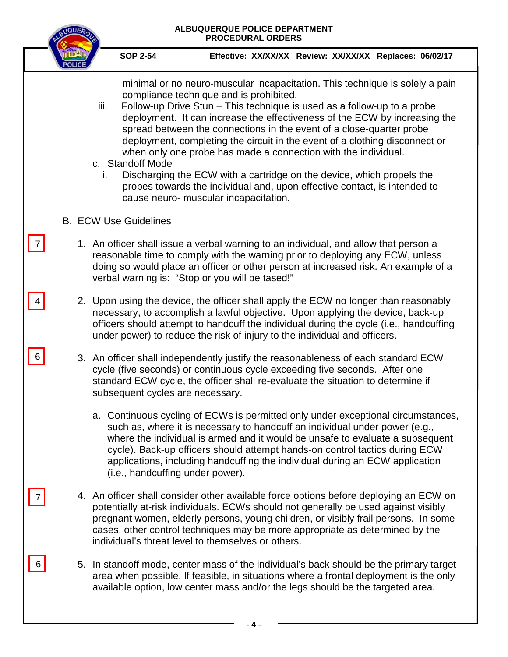| ALBUQUERQUE POLICE DEPARTMENT<br><b>PROCEDURAL ORDERS</b> |                                  |                                                                                  |                                                                                                                                                                                                                                                                                                                                                                                                                                                                                                                                                                                                                      |  |
|-----------------------------------------------------------|----------------------------------|----------------------------------------------------------------------------------|----------------------------------------------------------------------------------------------------------------------------------------------------------------------------------------------------------------------------------------------------------------------------------------------------------------------------------------------------------------------------------------------------------------------------------------------------------------------------------------------------------------------------------------------------------------------------------------------------------------------|--|
|                                                           | <b>SOP 2-54</b>                  |                                                                                  | Effective: XX/XX/XX Review: XX/XX/XX Replaces: 06/02/17                                                                                                                                                                                                                                                                                                                                                                                                                                                                                                                                                              |  |
| iii.<br>i.                                                | c. Standoff Mode                 | compliance technique and is prohibited.<br>cause neuro- muscular incapacitation. | minimal or no neuro-muscular incapacitation. This technique is solely a pain<br>Follow-up Drive Stun - This technique is used as a follow-up to a probe<br>deployment. It can increase the effectiveness of the ECW by increasing the<br>spread between the connections in the event of a close-quarter probe<br>deployment, completing the circuit in the event of a clothing disconnect or<br>when only one probe has made a connection with the individual.<br>Discharging the ECW with a cartridge on the device, which propels the<br>probes towards the individual and, upon effective contact, is intended to |  |
|                                                           | <b>B. ECW Use Guidelines</b>     |                                                                                  |                                                                                                                                                                                                                                                                                                                                                                                                                                                                                                                                                                                                                      |  |
| 7                                                         |                                  | verbal warning is: "Stop or you will be tased!"                                  | 1. An officer shall issue a verbal warning to an individual, and allow that person a<br>reasonable time to comply with the warning prior to deploying any ECW, unless<br>doing so would place an officer or other person at increased risk. An example of a                                                                                                                                                                                                                                                                                                                                                          |  |
|                                                           |                                  |                                                                                  | 2. Upon using the device, the officer shall apply the ECW no longer than reasonably<br>necessary, to accomplish a lawful objective. Upon applying the device, back-up<br>officers should attempt to handcuff the individual during the cycle (i.e., handcuffing<br>under power) to reduce the risk of injury to the individual and officers.                                                                                                                                                                                                                                                                         |  |
| 6                                                         | subsequent cycles are necessary. |                                                                                  | 3. An officer shall independently justify the reasonableness of each standard ECW<br>cycle (five seconds) or continuous cycle exceeding five seconds. After one<br>standard ECW cycle, the officer shall re-evaluate the situation to determine if                                                                                                                                                                                                                                                                                                                                                                   |  |
|                                                           | (i.e., handcuffing under power). |                                                                                  | a. Continuous cycling of ECWs is permitted only under exceptional circumstances,<br>such as, where it is necessary to handcuff an individual under power (e.g.,<br>where the individual is armed and it would be unsafe to evaluate a subsequent<br>cycle). Back-up officers should attempt hands-on control tactics during ECW<br>applications, including handcuffing the individual during an ECW application                                                                                                                                                                                                      |  |
| 7                                                         |                                  | individual's threat level to themselves or others.                               | 4. An officer shall consider other available force options before deploying an ECW on<br>potentially at-risk individuals. ECWs should not generally be used against visibly<br>pregnant women, elderly persons, young children, or visibly frail persons. In some<br>cases, other control techniques may be more appropriate as determined by the                                                                                                                                                                                                                                                                    |  |
| 6                                                         |                                  |                                                                                  | 5. In standoff mode, center mass of the individual's back should be the primary target<br>area when possible. If feasible, in situations where a frontal deployment is the only<br>available option, low center mass and/or the legs should be the targeted area.                                                                                                                                                                                                                                                                                                                                                    |  |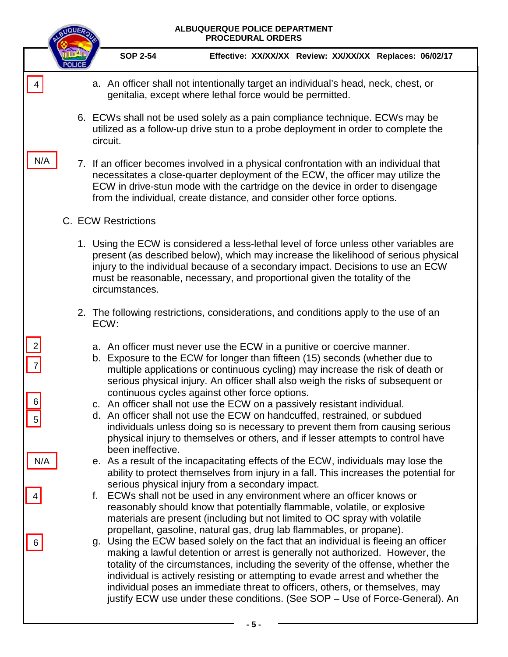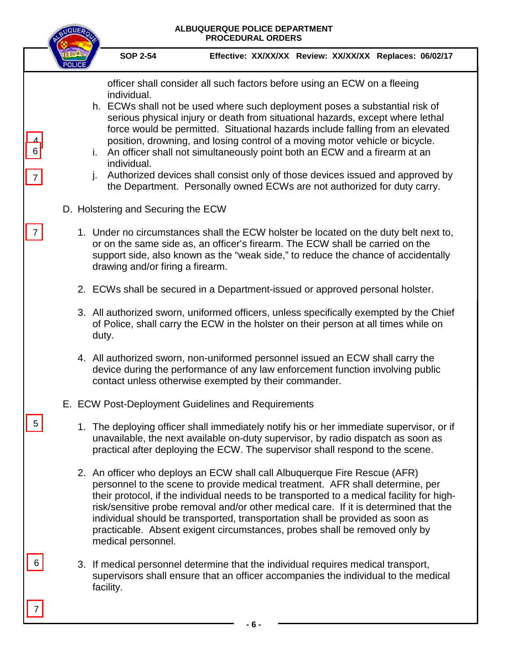| <b>SOP 2-54</b><br>Effective: XX/XX/XX Review: XX/XX/XX Replaces: 06/02/17                                                                                                                                                                                                                                                                                                                                                                                                                                                                                                                                                                                                                                  |  |
|-------------------------------------------------------------------------------------------------------------------------------------------------------------------------------------------------------------------------------------------------------------------------------------------------------------------------------------------------------------------------------------------------------------------------------------------------------------------------------------------------------------------------------------------------------------------------------------------------------------------------------------------------------------------------------------------------------------|--|
|                                                                                                                                                                                                                                                                                                                                                                                                                                                                                                                                                                                                                                                                                                             |  |
| officer shall consider all such factors before using an ECW on a fleeing<br>individual.<br>h. ECWs shall not be used where such deployment poses a substantial risk of<br>serious physical injury or death from situational hazards, except where lethal<br>force would be permitted. Situational hazards include falling from an elevated<br>position, drowning, and losing control of a moving motor vehicle or bicycle.<br>An officer shall not simultaneously point both an ECW and a firearm at an<br>individual.<br>Authorized devices shall consist only of those devices issued and approved by<br>j.<br>$\overline{7}$<br>the Department. Personally owned ECWs are not authorized for duty carry. |  |
| D. Holstering and Securing the ECW                                                                                                                                                                                                                                                                                                                                                                                                                                                                                                                                                                                                                                                                          |  |
| 1. Under no circumstances shall the ECW holster be located on the duty belt next to,<br>or on the same side as, an officer's firearm. The ECW shall be carried on the<br>support side, also known as the "weak side," to reduce the chance of accidentally<br>drawing and/or firing a firearm.                                                                                                                                                                                                                                                                                                                                                                                                              |  |
| 2. ECWs shall be secured in a Department-issued or approved personal holster.                                                                                                                                                                                                                                                                                                                                                                                                                                                                                                                                                                                                                               |  |
| 3. All authorized sworn, uniformed officers, unless specifically exempted by the Chief<br>of Police, shall carry the ECW in the holster on their person at all times while on<br>duty.                                                                                                                                                                                                                                                                                                                                                                                                                                                                                                                      |  |
| 4. All authorized sworn, non-uniformed personnel issued an ECW shall carry the<br>device during the performance of any law enforcement function involving public<br>contact unless otherwise exempted by their commander.                                                                                                                                                                                                                                                                                                                                                                                                                                                                                   |  |
| E. ECW Post-Deployment Guidelines and Requirements                                                                                                                                                                                                                                                                                                                                                                                                                                                                                                                                                                                                                                                          |  |
| 1. The deploying officer shall immediately notify his or her immediate supervisor, or if<br>unavailable, the next available on-duty supervisor, by radio dispatch as soon as<br>practical after deploying the ECW. The supervisor shall respond to the scene.                                                                                                                                                                                                                                                                                                                                                                                                                                               |  |
| 2. An officer who deploys an ECW shall call Albuquerque Fire Rescue (AFR)<br>personnel to the scene to provide medical treatment. AFR shall determine, per<br>their protocol, if the individual needs to be transported to a medical facility for high-<br>risk/sensitive probe removal and/or other medical care. If it is determined that the<br>individual should be transported, transportation shall be provided as soon as<br>practicable. Absent exigent circumstances, probes shall be removed only by<br>medical personnel.                                                                                                                                                                        |  |
| 3. If medical personnel determine that the individual requires medical transport,<br>supervisors shall ensure that an officer accompanies the individual to the medical<br>facility.                                                                                                                                                                                                                                                                                                                                                                                                                                                                                                                        |  |
| - 6 -                                                                                                                                                                                                                                                                                                                                                                                                                                                                                                                                                                                                                                                                                                       |  |
|                                                                                                                                                                                                                                                                                                                                                                                                                                                                                                                                                                                                                                                                                                             |  |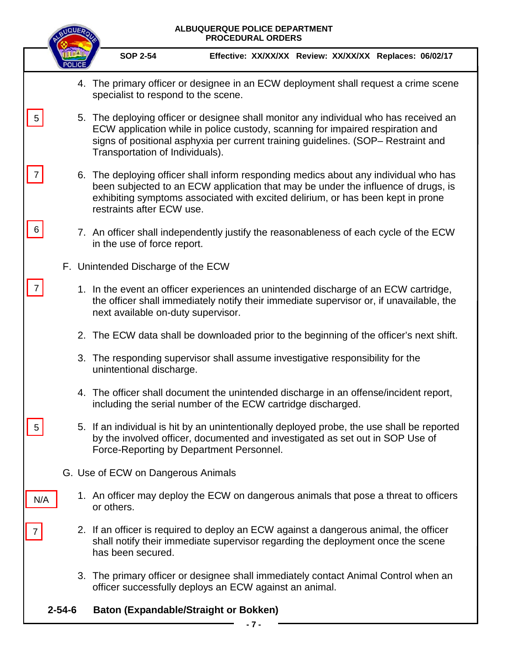| <b>SOP 2-54</b>                                                                                                                                                                                                      | Effective: XX/XX/XX Review: XX/XX/XX Replaces: 06/02/17                                                                                                                                                                                                                                         |  |  |  |  |
|----------------------------------------------------------------------------------------------------------------------------------------------------------------------------------------------------------------------|-------------------------------------------------------------------------------------------------------------------------------------------------------------------------------------------------------------------------------------------------------------------------------------------------|--|--|--|--|
|                                                                                                                                                                                                                      |                                                                                                                                                                                                                                                                                                 |  |  |  |  |
|                                                                                                                                                                                                                      | 4. The primary officer or designee in an ECW deployment shall request a crime scene<br>specialist to respond to the scene.                                                                                                                                                                      |  |  |  |  |
| 5                                                                                                                                                                                                                    | 5. The deploying officer or designee shall monitor any individual who has received an<br>ECW application while in police custody, scanning for impaired respiration and<br>signs of positional asphyxia per current training guidelines. (SOP– Restraint and<br>Transportation of Individuals). |  |  |  |  |
| $\prime$                                                                                                                                                                                                             | 6. The deploying officer shall inform responding medics about any individual who has<br>been subjected to an ECW application that may be under the influence of drugs, is<br>exhibiting symptoms associated with excited delirium, or has been kept in prone<br>restraints after ECW use.       |  |  |  |  |
| 6<br>in the use of force report.                                                                                                                                                                                     | 7. An officer shall independently justify the reasonableness of each cycle of the ECW                                                                                                                                                                                                           |  |  |  |  |
| F. Unintended Discharge of the ECW                                                                                                                                                                                   |                                                                                                                                                                                                                                                                                                 |  |  |  |  |
| 1. In the event an officer experiences an unintended discharge of an ECW cartridge,<br>the officer shall immediately notify their immediate supervisor or, if unavailable, the<br>next available on-duty supervisor. |                                                                                                                                                                                                                                                                                                 |  |  |  |  |
|                                                                                                                                                                                                                      | 2. The ECW data shall be downloaded prior to the beginning of the officer's next shift.                                                                                                                                                                                                         |  |  |  |  |
| unintentional discharge.                                                                                                                                                                                             | 3. The responding supervisor shall assume investigative responsibility for the                                                                                                                                                                                                                  |  |  |  |  |
|                                                                                                                                                                                                                      | 4. The officer shall document the unintended discharge in an offense/incident report,<br>including the serial number of the ECW cartridge discharged.                                                                                                                                           |  |  |  |  |
| Force-Reporting by Department Personnel.                                                                                                                                                                             | 5. If an individual is hit by an unintentionally deployed probe, the use shall be reported<br>by the involved officer, documented and investigated as set out in SOP Use of                                                                                                                     |  |  |  |  |
| G. Use of ECW on Dangerous Animals                                                                                                                                                                                   |                                                                                                                                                                                                                                                                                                 |  |  |  |  |
| N/A<br>or others.                                                                                                                                                                                                    | 1. An officer may deploy the ECW on dangerous animals that pose a threat to officers                                                                                                                                                                                                            |  |  |  |  |
| has been secured.                                                                                                                                                                                                    | 2. If an officer is required to deploy an ECW against a dangerous animal, the officer<br>shall notify their immediate supervisor regarding the deployment once the scene                                                                                                                        |  |  |  |  |
|                                                                                                                                                                                                                      | 3. The primary officer or designee shall immediately contact Animal Control when an<br>officer successfully deploys an ECW against an animal.                                                                                                                                                   |  |  |  |  |
| $2 - 54 - 6$<br><b>Baton (Expandable/Straight or Bokken)</b>                                                                                                                                                         | - 7 -                                                                                                                                                                                                                                                                                           |  |  |  |  |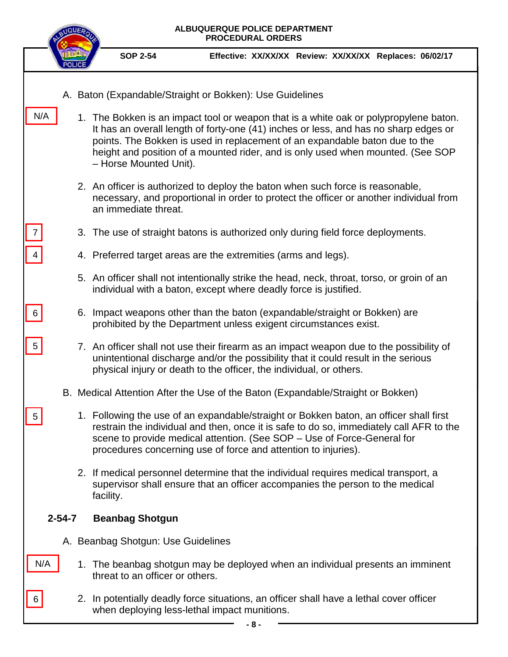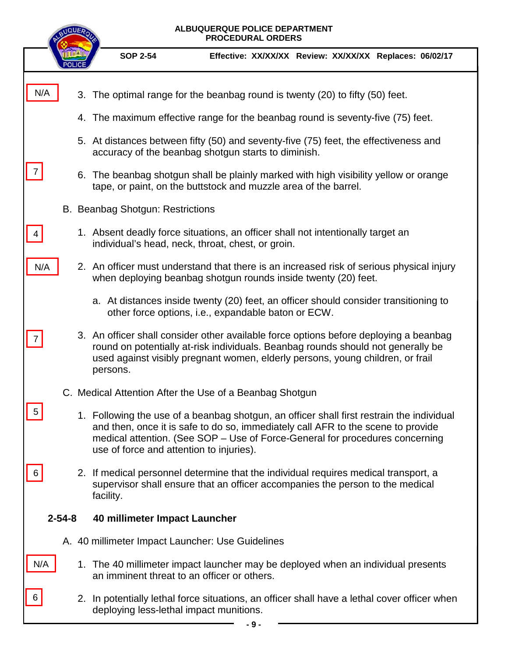|                                               | ALBUQUERQUE POLICE DEPARTMENT<br>QUE<br><b>PROCEDURAL ORDERS</b>                                                                                        |                                                                                                                                                                                                                                                                                                           |  |  |  |  |
|-----------------------------------------------|---------------------------------------------------------------------------------------------------------------------------------------------------------|-----------------------------------------------------------------------------------------------------------------------------------------------------------------------------------------------------------------------------------------------------------------------------------------------------------|--|--|--|--|
|                                               |                                                                                                                                                         | <b>SOP 2-54</b><br>Effective: XX/XX/XX Review: XX/XX/XX Replaces: 06/02/17                                                                                                                                                                                                                                |  |  |  |  |
| N/A                                           |                                                                                                                                                         | 3. The optimal range for the beanbag round is twenty (20) to fifty (50) feet.                                                                                                                                                                                                                             |  |  |  |  |
|                                               |                                                                                                                                                         | 4. The maximum effective range for the beanbag round is seventy-five (75) feet.                                                                                                                                                                                                                           |  |  |  |  |
|                                               | 5. At distances between fifty (50) and seventy-five (75) feet, the effectiveness and<br>accuracy of the beanbag shotgun starts to diminish.             |                                                                                                                                                                                                                                                                                                           |  |  |  |  |
| 7                                             | 6. The beanbag shotgun shall be plainly marked with high visibility yellow or orange<br>tape, or paint, on the buttstock and muzzle area of the barrel. |                                                                                                                                                                                                                                                                                                           |  |  |  |  |
|                                               |                                                                                                                                                         | B. Beanbag Shotgun: Restrictions                                                                                                                                                                                                                                                                          |  |  |  |  |
|                                               |                                                                                                                                                         | 1. Absent deadly force situations, an officer shall not intentionally target an<br>individual's head, neck, throat, chest, or groin.                                                                                                                                                                      |  |  |  |  |
| N/A                                           |                                                                                                                                                         | 2. An officer must understand that there is an increased risk of serious physical injury<br>when deploying beanbag shotgun rounds inside twenty (20) feet.                                                                                                                                                |  |  |  |  |
|                                               |                                                                                                                                                         | a. At distances inside twenty (20) feet, an officer should consider transitioning to<br>other force options, i.e., expandable baton or ECW.                                                                                                                                                               |  |  |  |  |
|                                               |                                                                                                                                                         | 3. An officer shall consider other available force options before deploying a beanbag<br>round on potentially at-risk individuals. Beanbag rounds should not generally be<br>used against visibly pregnant women, elderly persons, young children, or frail<br>persons.                                   |  |  |  |  |
|                                               |                                                                                                                                                         | C. Medical Attention After the Use of a Beanbag Shotgun                                                                                                                                                                                                                                                   |  |  |  |  |
|                                               |                                                                                                                                                         | 1. Following the use of a beanbag shotgun, an officer shall first restrain the individual<br>and then, once it is safe to do so, immediately call AFR to the scene to provide<br>medical attention. (See SOP - Use of Force-General for procedures concerning<br>use of force and attention to injuries). |  |  |  |  |
| 6                                             |                                                                                                                                                         | 2. If medical personnel determine that the individual requires medical transport, a<br>supervisor shall ensure that an officer accompanies the person to the medical<br>facility.                                                                                                                         |  |  |  |  |
| $2 - 54 - 8$<br>40 millimeter Impact Launcher |                                                                                                                                                         |                                                                                                                                                                                                                                                                                                           |  |  |  |  |
|                                               |                                                                                                                                                         | A. 40 millimeter Impact Launcher: Use Guidelines                                                                                                                                                                                                                                                          |  |  |  |  |
| N/A                                           |                                                                                                                                                         | 1. The 40 millimeter impact launcher may be deployed when an individual presents<br>an imminent threat to an officer or others.                                                                                                                                                                           |  |  |  |  |
| 6                                             |                                                                                                                                                         | 2. In potentially lethal force situations, an officer shall have a lethal cover officer when<br>deploying less-lethal impact munitions.                                                                                                                                                                   |  |  |  |  |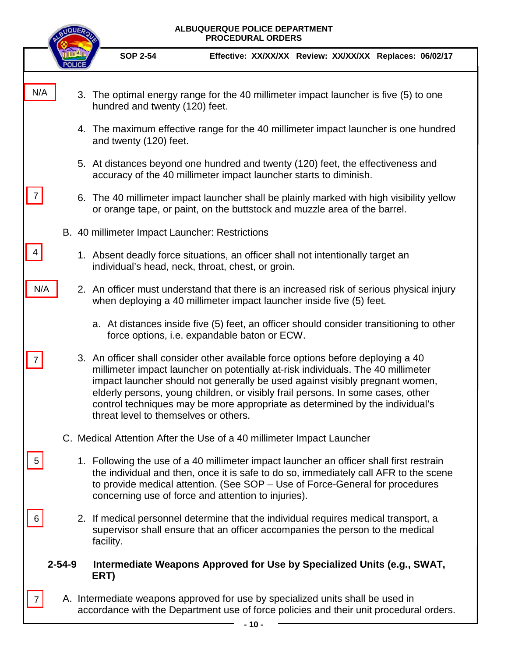|     | ALBUQUERQUE POLICE DEPARTMENT<br><b>PROCEDURAL ORDERS</b> |                                                                                                                                                                                                                                                                                                                                                                                                                                                                  |                                                         |  |  |
|-----|-----------------------------------------------------------|------------------------------------------------------------------------------------------------------------------------------------------------------------------------------------------------------------------------------------------------------------------------------------------------------------------------------------------------------------------------------------------------------------------------------------------------------------------|---------------------------------------------------------|--|--|
|     |                                                           | <b>SOP 2-54</b>                                                                                                                                                                                                                                                                                                                                                                                                                                                  | Effective: XX/XX/XX Review: XX/XX/XX Replaces: 06/02/17 |  |  |
| N/A |                                                           | 3. The optimal energy range for the 40 millimeter impact launcher is five (5) to one<br>hundred and twenty (120) feet.                                                                                                                                                                                                                                                                                                                                           |                                                         |  |  |
|     |                                                           | 4. The maximum effective range for the 40 millimeter impact launcher is one hundred<br>and twenty (120) feet.                                                                                                                                                                                                                                                                                                                                                    |                                                         |  |  |
|     |                                                           | 5. At distances beyond one hundred and twenty (120) feet, the effectiveness and<br>accuracy of the 40 millimeter impact launcher starts to diminish.                                                                                                                                                                                                                                                                                                             |                                                         |  |  |
|     |                                                           | 6. The 40 millimeter impact launcher shall be plainly marked with high visibility yellow<br>or orange tape, or paint, on the buttstock and muzzle area of the barrel.                                                                                                                                                                                                                                                                                            |                                                         |  |  |
|     |                                                           | B. 40 millimeter Impact Launcher: Restrictions                                                                                                                                                                                                                                                                                                                                                                                                                   |                                                         |  |  |
| 4   |                                                           | 1. Absent deadly force situations, an officer shall not intentionally target an<br>individual's head, neck, throat, chest, or groin.                                                                                                                                                                                                                                                                                                                             |                                                         |  |  |
| N/A |                                                           | 2. An officer must understand that there is an increased risk of serious physical injury<br>when deploying a 40 millimeter impact launcher inside five (5) feet.                                                                                                                                                                                                                                                                                                 |                                                         |  |  |
|     |                                                           | a. At distances inside five (5) feet, an officer should consider transitioning to other<br>force options, i.e. expandable baton or ECW.                                                                                                                                                                                                                                                                                                                          |                                                         |  |  |
|     |                                                           | 3. An officer shall consider other available force options before deploying a 40<br>millimeter impact launcher on potentially at-risk individuals. The 40 millimeter<br>impact launcher should not generally be used against visibly pregnant women,<br>elderly persons, young children, or visibly frail persons. In some cases, other<br>control techniques may be more appropriate as determined by the individual's<br>threat level to themselves or others. |                                                         |  |  |
|     |                                                           | C. Medical Attention After the Use of a 40 millimeter Impact Launcher                                                                                                                                                                                                                                                                                                                                                                                            |                                                         |  |  |
| 5   |                                                           | 1. Following the use of a 40 millimeter impact launcher an officer shall first restrain<br>the individual and then, once it is safe to do so, immediately call AFR to the scene<br>to provide medical attention. (See SOP – Use of Force-General for procedures<br>concerning use of force and attention to injuries).                                                                                                                                           |                                                         |  |  |
|     |                                                           | 2. If medical personnel determine that the individual requires medical transport, a<br>supervisor shall ensure that an officer accompanies the person to the medical<br>facility.                                                                                                                                                                                                                                                                                |                                                         |  |  |
|     | $2 - 54 - 9$                                              | Intermediate Weapons Approved for Use by Specialized Units (e.g., SWAT,<br>ERT)                                                                                                                                                                                                                                                                                                                                                                                  |                                                         |  |  |
|     |                                                           | A. Intermediate weapons approved for use by specialized units shall be used in<br>accordance with the Department use of force policies and their unit procedural orders.                                                                                                                                                                                                                                                                                         |                                                         |  |  |